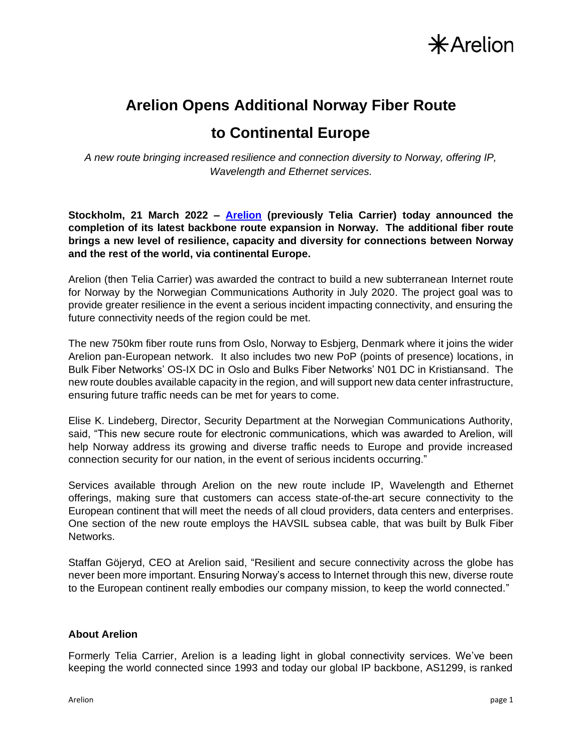

# **Arelion Opens Additional Norway Fiber Route to Continental Europe**

*A new route bringing increased resilience and connection diversity to Norway, offering IP, Wavelength and Ethernet services.*

**Stockholm, 21 March 2022 – [Arelion](https://www.arelion.com/) (previously Telia Carrier) today announced the completion of its latest backbone route expansion in Norway. The additional fiber route brings a new level of resilience, capacity and diversity for connections between Norway and the rest of the world, via continental Europe.**

Arelion (then Telia Carrier) was awarded the contract to build a new subterranean Internet route for Norway by the Norwegian Communications Authority in July 2020. The project goal was to provide greater resilience in the event a serious incident impacting connectivity, and ensuring the future connectivity needs of the region could be met.

The new 750km fiber route runs from Oslo, Norway to Esbjerg, Denmark where it joins the wider Arelion pan-European network. It also includes two new PoP (points of presence) locations, in Bulk Fiber Networks' OS-IX DC in Oslo and Bulks Fiber Networks' N01 DC in Kristiansand. The new route doubles available capacity in the region, and will support new data center infrastructure, ensuring future traffic needs can be met for years to come.

Elise K. Lindeberg, Director, Security Department at the Norwegian Communications Authority, said, "This new secure route for electronic communications, which was awarded to Arelion, will help Norway address its growing and diverse traffic needs to Europe and provide increased connection security for our nation, in the event of serious incidents occurring."

Services available through Arelion on the new route include IP, Wavelength and Ethernet offerings, making sure that customers can access state-of-the-art secure connectivity to the European continent that will meet the needs of all cloud providers, data centers and enterprises. One section of the new route employs the HAVSIL subsea cable, that was built by Bulk Fiber Networks.

Staffan Göjeryd, CEO at Arelion said, "Resilient and secure connectivity across the globe has never been more important. Ensuring Norway's access to Internet through this new, diverse route to the European continent really embodies our company mission, to keep the world connected."

#### **About Arelion**

Formerly Telia Carrier, Arelion is a leading light in global connectivity services. We've been keeping the world connected since 1993 and today our global IP backbone, AS1299, is ranked